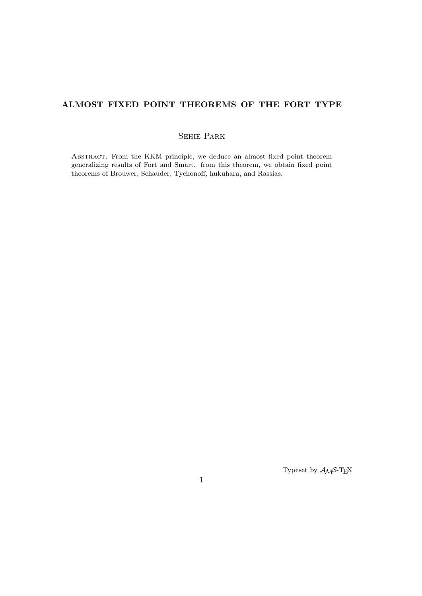## **ALMOST FIXED POINT THEOREMS OF THE FORT TYPE**

## Sehie Park

ABSTRACT. From the KKM principle, we deduce an almost fixed point theorem generalizing results of Fort and Smart. from this theorem, we obtain fixed point theorems of Brouwer, Schauder, Tychonoff, hukuhara, and Rassias.

Typeset by *AMS*-TEX

1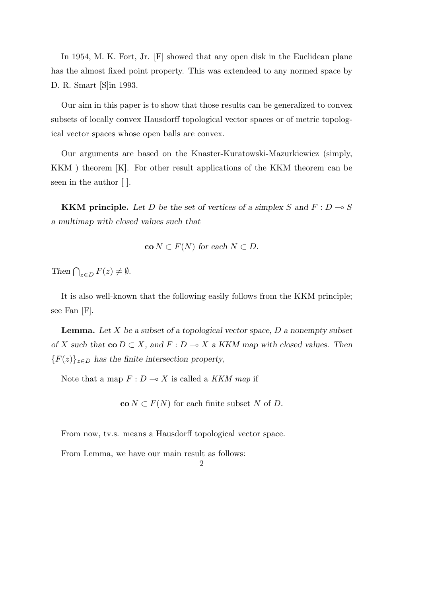In 1954, M. K. Fort, Jr. [F] showed that any open disk in the Euclidean plane has the almost fixed point property. This was extendeed to any normed space by D. R. Smart [S]in 1993.

Our aim in this paper is to show that those results can be generalized to convex subsets of locally convex Hausdorff topological vector spaces or of metric topological vector spaces whose open balls are convex.

Our arguments are based on the Knaster-Kuratowski-Mazurkiewicz (simply, KKM ) theorem [K]. For other result applications of the KKM theorem can be seen in the author [ ].

**KKM principle.** Let D be the set of vertices of a simplex S and  $F: D \to S$ *a multimap with closed values such that*

$$
co N \subset F(N) \text{ for each } N \subset D.
$$

*Then*  $\bigcap_{z \in D} F(z) \neq \emptyset$ *.* 

It is also well-known that the following easily follows from the KKM principle; see Fan [F].

**Lemma.** *Let X be a subset of a topological vector space, D a nonempty subset of X* such that  $\text{co } D \subset X$ , and  $F : D \to X$  a KKM map with closed values. Then *{F*(*z*)*}<sup>z</sup>∈<sup>D</sup> has the finite intersection property,*

Note that a map  $F: D \longrightarrow X$  is called a *KKM map* if

 $\mathbf{co} N \subset F(N)$  for each finite subset *N* of *D*.

From now, tv.s. means a Hausdorff topological vector space.

From Lemma, we have our main result as follows:

2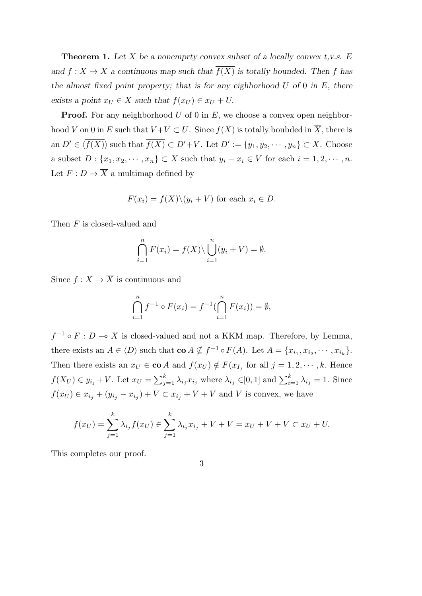**Theorem 1.** *Let X be a nonemprty convex subset of a locally convex t,v.s. E and*  $f: X \to \overline{X}$  *a continuous map such that*  $\overline{f(X)}$  *is totally bounded. Then f has the almost fixed point property; that is for any eighborhood U of* 0 *in E, there exists a point*  $x_U \in X$  *such that*  $f(x_U) \in x_U + U$ .

**Proof.** For any neighborhood *U* of 0 in *E*, we choose a convex open neighborhood *V* on 0 in *E* such that  $V + V \subset U$ . Since  $\overline{f(X)}$  is totally boubded in  $\overline{X}$ , there is an  $D' \in \langle f(X) \rangle$  such that  $f(X) \subset D' + V$ . Let  $D' := \{y_1, y_2, \dots, y_n\} \subset X$ . Choose a subset  $D: \{x_1, x_2, \dots, x_n\} \subset X$  such that  $y_i - x_i \in V$  for each  $i = 1, 2, \dots, n$ . Let  $F:D\to \overline{X}$  a multimap defined by

$$
F(x_i) = \overline{f(X)} \setminus (y_i + V)
$$
 for each  $x_i \in D$ .

Then *F* is closed-valued and

$$
\bigcap_{i=1}^{n} F(x_i) = \overline{f(X)} \setminus \bigcup_{i=1}^{n} (y_i + V) = \emptyset.
$$

Since  $f: X \to \overline{X}$  is continuous and

$$
\bigcap_{i=1}^{n} f^{-1} \circ F(x_i) = f^{-1}(\bigcap_{i=1}^{n} F(x_i)) = \emptyset,
$$

 $f^{-1} \circ F : D \multimap X$  is closed-valued and not a KKM map. Therefore, by Lemma, there exists an  $A \in \langle D \rangle$  such that  $\mathbf{co} A \nsubseteq f^{-1} \circ F(A)$ . Let  $A = \{x_{i_1}, x_{i_2}, \dots, x_{i_k}\}.$ Then there exists an  $x_U \in \text{co } A$  and  $f(x_U) \notin F(x_{I_j} \text{ for all } j = 1, 2, \dots, k$ . Hence  $f(X_U) \in y_{i_j} + V$ . Let  $x_U = \sum_{j=1}^k \lambda_{i_j} x_{i_j}$  where  $\lambda_{i_j} \in [0,1]$  and  $\sum_{i=1}^k \lambda_{i_j} = 1$ . Since *f*(*xU*) ∈ *x*<sup>*i*</sup><sub>*j*</sub> + (*y*<sup>*i*</sup><sub>*j*</sub> − *x*<sup>*i*</sup><sub>*j*</sub></sub>) + *V* ⊂ *x*<sup>*i*</sup><sub>*j*</sub> + *V* + *V* and *V* is convex, we have

$$
f(x_U) = \sum_{j=1}^k \lambda_{i_j} f(x_U) \in \sum_{j=1}^k \lambda_{i_j} x_{i_j} + V + V = x_U + V + V \subset x_U + U.
$$

This completes our proof.

3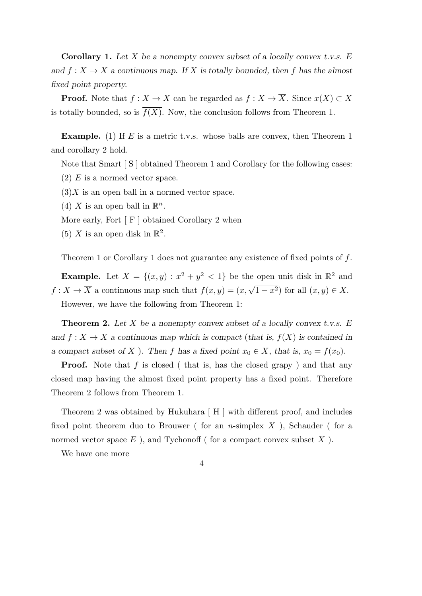**Corollary 1.** *Let X be a nonempty convex subset of a locally convex t.v.s. E and*  $f: X \to X$  *a continuous map.* If *X is totally bounded, then f* has the almost *fixed point property.*

**Proof.** Note that  $f: X \to X$  can be regarded as  $f: X \to \overline{X}$ . Since  $x(X) \subset X$ is totally bounded, so is  $\overline{f(X)}$ . Now, the conclusion follows from Theorem 1.

**Example.** (1) If *E* is a metric t.v.s. whose balls are convex, then Theorem 1 and corollary 2 hold.

Note that Smart [ S ] obtained Theorem 1 and Corollary for the following cases:

- (2) *E* is a normed vector space.
- $(3)X$  is an open ball in a normed vector space.
- (4) *X* is an open ball in  $\mathbb{R}^n$ .
- More early, Fort  $\lceil F \rceil$  obtained Corollary 2 when
- (5) *X* is an open disk in  $\mathbb{R}^2$ .

Theorem 1 or Corollary 1 does not guarantee any existence of fixed points of *f*.

**Example.** Let  $X = \{(x, y) : x^2 + y^2 < 1\}$  be the open unit disk in  $\mathbb{R}^2$  and  $f: X \to \overline{X}$  a continuous map such that  $f(x, y) = (x, \sqrt{1-x^2})$  for all  $(x, y) \in X$ . However, we have the following from Theorem 1:

**Theorem 2.** *Let X be a nonempty convex subset of a locally convex t.v.s. E and*  $f: X \to X$  *a continuous map which is compact* (*that is,*  $f(X)$  *is contained in a* compact subset of *X* ). Then *f* has a fixed point  $x_0 \in X$ , that is,  $x_0 = f(x_0)$ .

**Proof.** Note that *f* is closed ( that is, has the closed grapy ) and that any closed map having the almost fixed point property has a fixed point. Therefore Theorem 2 follows from Theorem 1.

Theorem 2 was obtained by Hukuhara [ H ] with different proof, and includes fixed point theorem duo to Brouwer ( for an *n*-simplex *X* ), Schauder ( for a normed vector space  $E$  ), and Tychonoff ( for a compact convex subset  $X$  ).

We have one more